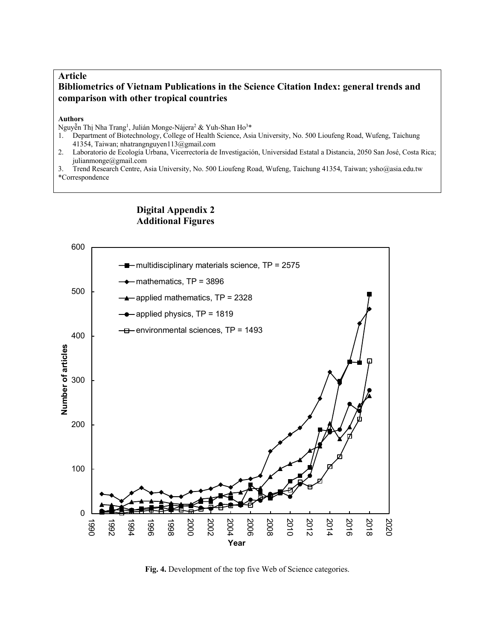## **Article Bibliometrics of Vietnam Publications in the Science Citation Index: general trends and comparison with other tropical countries**

## **Authors**

Nguyễn Thị Nha Trang<sup>1</sup>, Julián Monge-Nájera<sup>2</sup> & Yuh-Shan Ho<sup>3</sup>\*

- 1. Department of Biotechnology, College of Health Science, Asia University, No. 500 Lioufeng Road, Wufeng, Taichung 41354, Taiwan; nhatrangnguyen113@gmail.com
- 2. Laboratorio de Ecología Urbana, Vicerrectoría de Investigación, Universidad Estatal a Distancia, 2050 San José, Costa Rica; julianmonge@gmail.com
- 3. Trend Research Centre, Asia University, No. 500 Lioufeng Road, Wufeng, Taichung 41354, Taiwan; ysho@asia.edu.tw \*Correspondence



## **Digital Appendix 2 Additional Figures**

**Fig. 4.** Development of the top five Web of Science categories.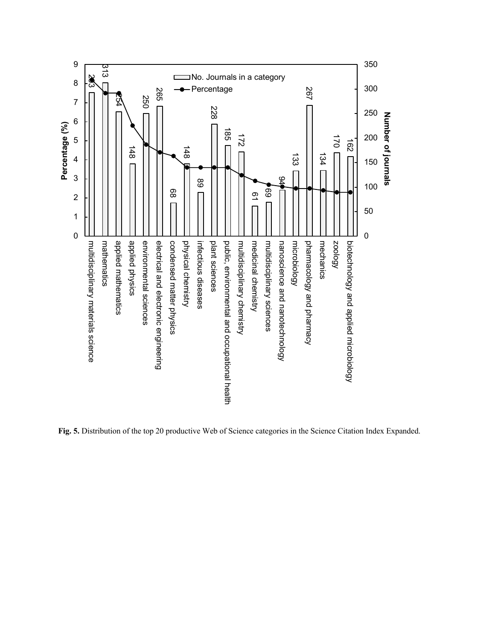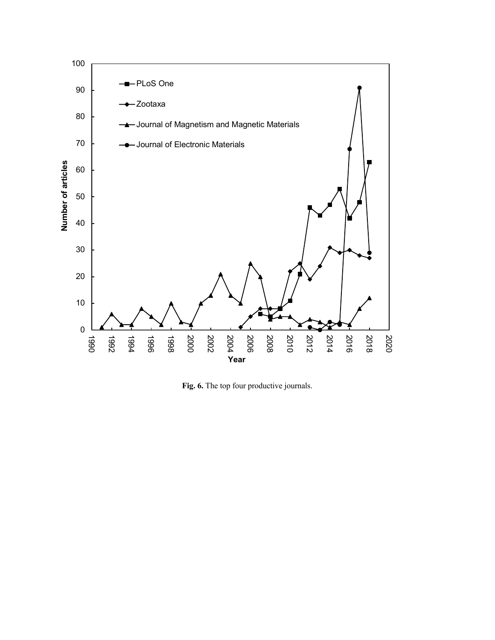

**Fig. 6.** The top four productive journals.